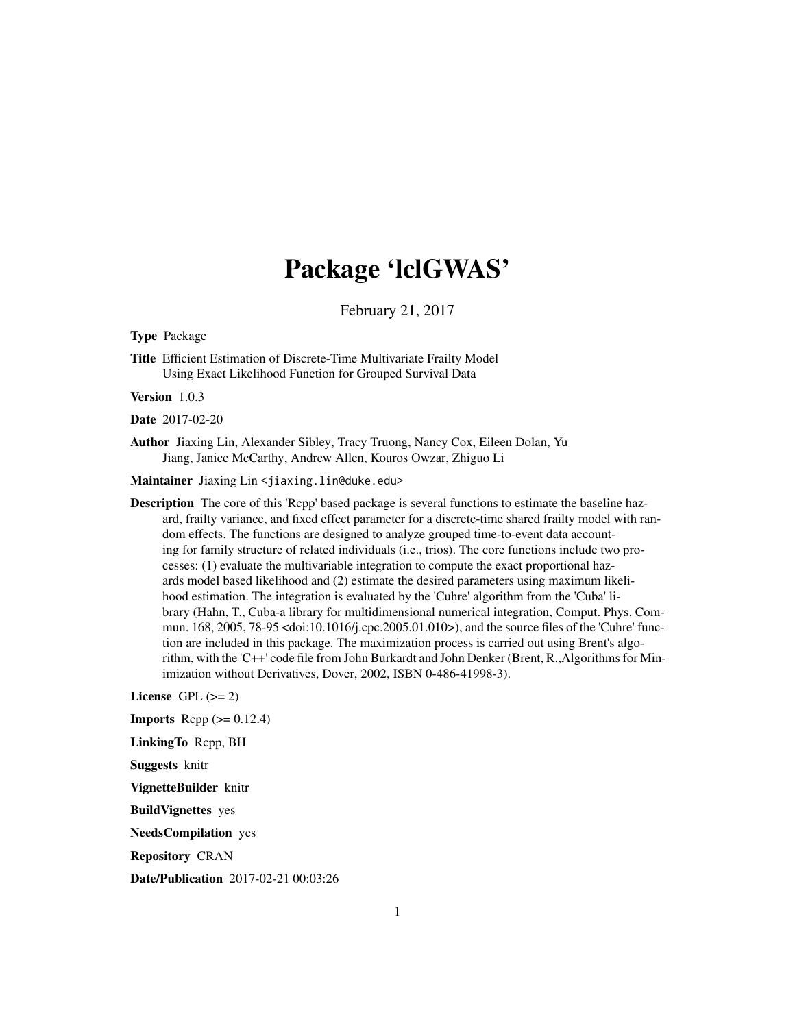# Package 'lclGWAS'

February 21, 2017

<span id="page-0-0"></span>Type Package

Title Efficient Estimation of Discrete-Time Multivariate Frailty Model Using Exact Likelihood Function for Grouped Survival Data

Version 1.0.3

Date 2017-02-20

Author Jiaxing Lin, Alexander Sibley, Tracy Truong, Nancy Cox, Eileen Dolan, Yu Jiang, Janice McCarthy, Andrew Allen, Kouros Owzar, Zhiguo Li

Maintainer Jiaxing Lin <jiaxing.lin@duke.edu>

Description The core of this 'Rcpp' based package is several functions to estimate the baseline hazard, frailty variance, and fixed effect parameter for a discrete-time shared frailty model with random effects. The functions are designed to analyze grouped time-to-event data accounting for family structure of related individuals (i.e., trios). The core functions include two processes: (1) evaluate the multivariable integration to compute the exact proportional hazards model based likelihood and (2) estimate the desired parameters using maximum likelihood estimation. The integration is evaluated by the 'Cuhre' algorithm from the 'Cuba' library (Hahn, T., Cuba-a library for multidimensional numerical integration, Comput. Phys. Commun. 168, 2005, 78-95 <doi:10.1016/j.cpc.2005.01.010>), and the source files of the 'Cuhre' function are included in this package. The maximization process is carried out using Brent's algorithm, with the 'C++' code file from John Burkardt and John Denker (Brent, R.,Algorithms for Minimization without Derivatives, Dover, 2002, ISBN 0-486-41998-3).

License GPL  $(>= 2)$ 

**Imports** Rcpp  $(>= 0.12.4)$ 

LinkingTo Rcpp, BH

Suggests knitr

VignetteBuilder knitr

BuildVignettes yes

NeedsCompilation yes

Repository CRAN

Date/Publication 2017-02-21 00:03:26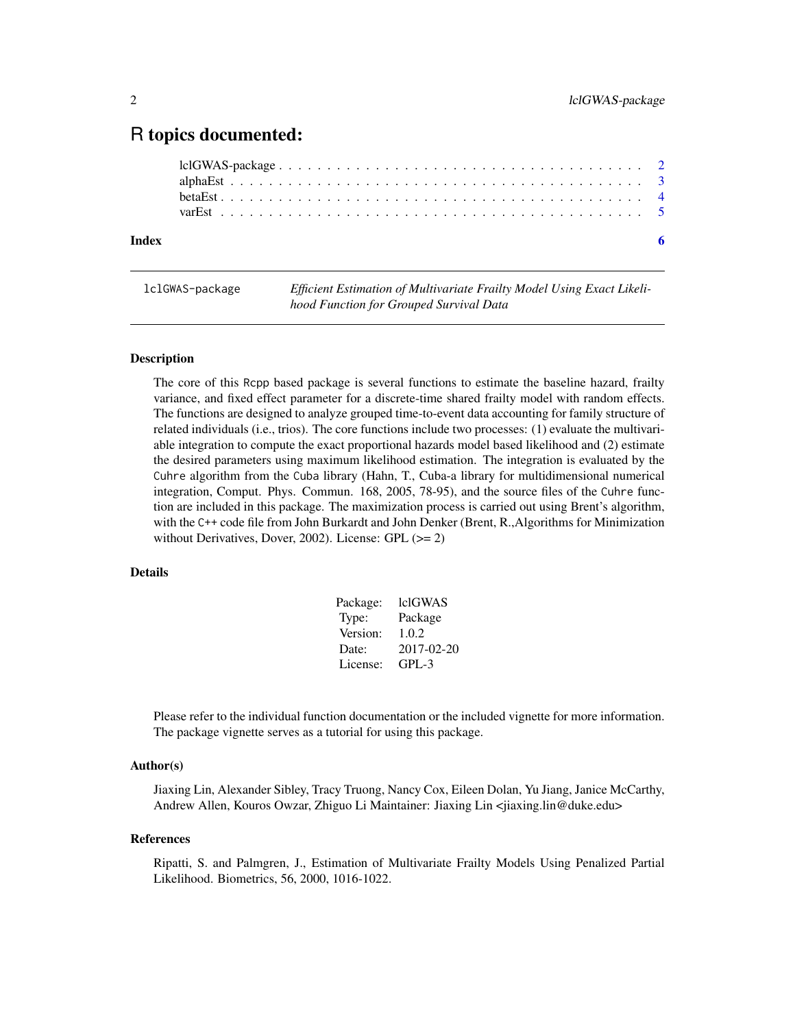# <span id="page-1-0"></span>R topics documented:

# **Index** [6](#page-5-0) **6**

lclGWAS-package *Efficient Estimation of Multivariate Frailty Model Using Exact Likelihood Function for Grouped Survival Data*

# Description

The core of this Rcpp based package is several functions to estimate the baseline hazard, frailty variance, and fixed effect parameter for a discrete-time shared frailty model with random effects. The functions are designed to analyze grouped time-to-event data accounting for family structure of related individuals (i.e., trios). The core functions include two processes: (1) evaluate the multivariable integration to compute the exact proportional hazards model based likelihood and (2) estimate the desired parameters using maximum likelihood estimation. The integration is evaluated by the Cuhre algorithm from the Cuba library (Hahn, T., Cuba-a library for multidimensional numerical integration, Comput. Phys. Commun. 168, 2005, 78-95), and the source files of the Cuhre function are included in this package. The maximization process is carried out using Brent's algorithm, with the C++ code file from John Burkardt and John Denker (Brent, R.,Algorithms for Minimization without Derivatives, Dover, 2002). License: GPL (>= 2)

# Details

| Package: | lclGWAS    |
|----------|------------|
| Type:    | Package    |
| Version: | 1.0.2      |
| Date:    | 2017-02-20 |
| License: | $GPI - 3$  |

Please refer to the individual function documentation or the included vignette for more information. The package vignette serves as a tutorial for using this package.

# Author(s)

Jiaxing Lin, Alexander Sibley, Tracy Truong, Nancy Cox, Eileen Dolan, Yu Jiang, Janice McCarthy, Andrew Allen, Kouros Owzar, Zhiguo Li Maintainer: Jiaxing Lin <jiaxing.lin@duke.edu>

#### References

Ripatti, S. and Palmgren, J., Estimation of Multivariate Frailty Models Using Penalized Partial Likelihood. Biometrics, 56, 2000, 1016-1022.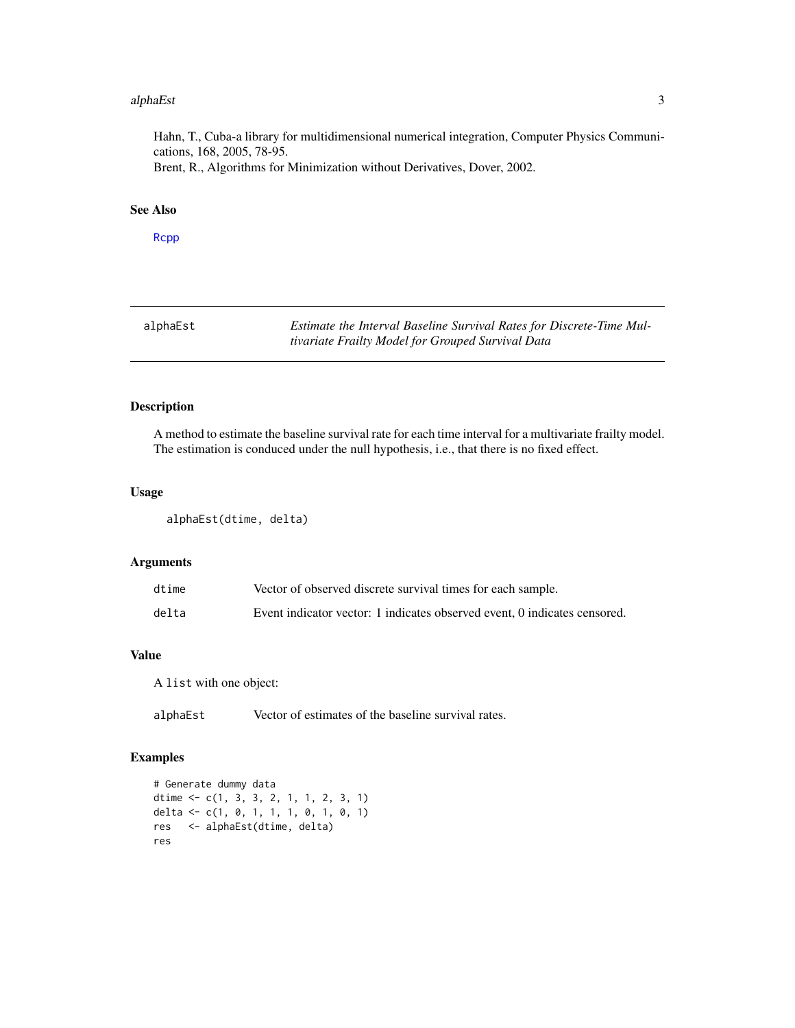### <span id="page-2-0"></span>alphaEst 3

Hahn, T., Cuba-a library for multidimensional numerical integration, Computer Physics Communications, 168, 2005, 78-95. Brent, R., Algorithms for Minimization without Derivatives, Dover, 2002.

# See Also

[Rcpp](#page-0-0)

| alphaEst | Estimate the Interval Baseline Survival Rates for Discrete-Time Mul- |
|----------|----------------------------------------------------------------------|
|          | tivariate Frailty Model for Grouped Survival Data                    |

# Description

A method to estimate the baseline survival rate for each time interval for a multivariate frailty model. The estimation is conduced under the null hypothesis, i.e., that there is no fixed effect.

# Usage

alphaEst(dtime, delta)

# Arguments

| dtime | Vector of observed discrete survival times for each sample.               |
|-------|---------------------------------------------------------------------------|
| delta | Event indicator vector: 1 indicates observed event, 0 indicates censored. |

# Value

A list with one object:

alphaEst Vector of estimates of the baseline survival rates.

# Examples

```
# Generate dummy data
dtime <- c(1, 3, 3, 2, 1, 1, 2, 3, 1)
delta <- c(1, 0, 1, 1, 1, 0, 1, 0, 1)
res <- alphaEst(dtime, delta)
res
```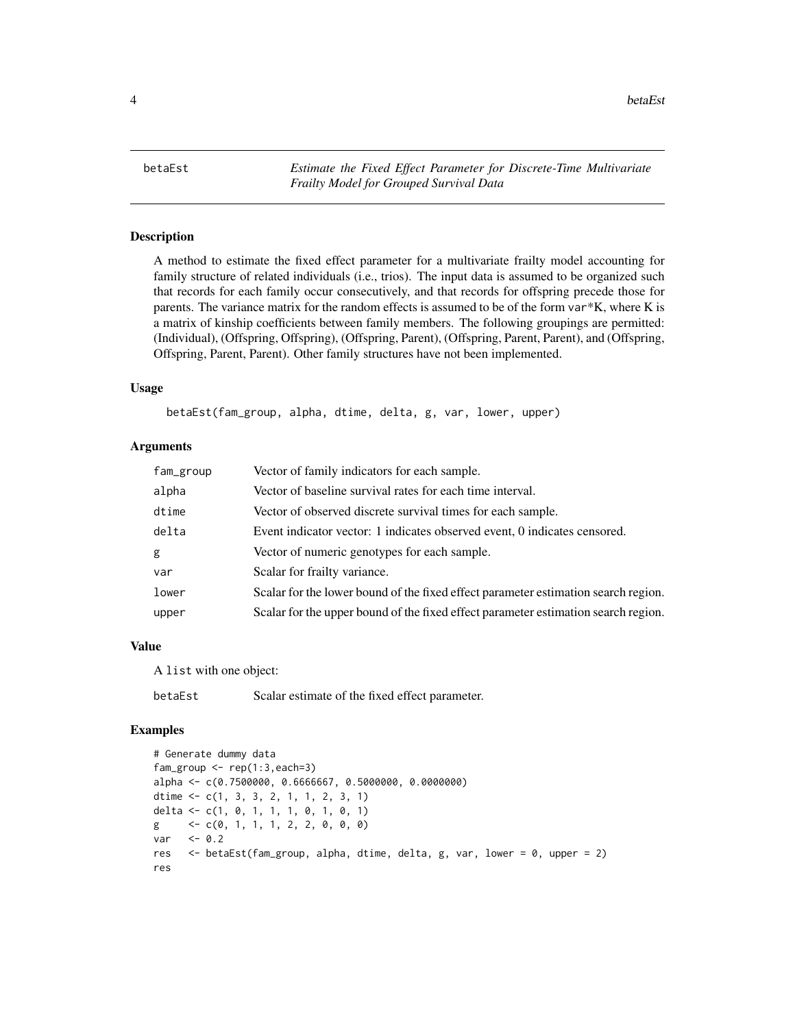<span id="page-3-0"></span>4 betaEst

betaEst *Estimate the Fixed Effect Parameter for Discrete-Time Multivariate Frailty Model for Grouped Survival Data*

# Description

A method to estimate the fixed effect parameter for a multivariate frailty model accounting for family structure of related individuals (i.e., trios). The input data is assumed to be organized such that records for each family occur consecutively, and that records for offspring precede those for parents. The variance matrix for the random effects is assumed to be of the form var\*K, where K is a matrix of kinship coefficients between family members. The following groupings are permitted: (Individual), (Offspring, Offspring), (Offspring, Parent), (Offspring, Parent, Parent), and (Offspring, Offspring, Parent, Parent). Other family structures have not been implemented.

# Usage

betaEst(fam\_group, alpha, dtime, delta, g, var, lower, upper)

# Arguments

| fam_group | Vector of family indicators for each sample.                                       |
|-----------|------------------------------------------------------------------------------------|
| alpha     | Vector of baseline survival rates for each time interval.                          |
| dtime     | Vector of observed discrete survival times for each sample.                        |
| delta     | Event indicator vector: 1 indicates observed event, 0 indicates censored.          |
| g         | Vector of numeric genotypes for each sample.                                       |
| var       | Scalar for frailty variance.                                                       |
| lower     | Scalar for the lower bound of the fixed effect parameter estimation search region. |
| upper     | Scalar for the upper bound of the fixed effect parameter estimation search region. |

# Value

A list with one object:

betaEst Scalar estimate of the fixed effect parameter.

#### Examples

```
# Generate dummy data
fam\_group \leftarrow rep(1:3, each=3)alpha <- c(0.7500000, 0.6666667, 0.5000000, 0.0000000)
dtime <- c(1, 3, 3, 2, 1, 1, 2, 3, 1)
delta <- c(1, 0, 1, 1, 1, 0, 1, 0, 1)
g \leq -c(0, 1, 1, 1, 2, 2, 0, 0, 0)var <- 0.2
res <- betaEst(fam_group, alpha, dtime, delta, g, var, lower = 0, upper = 2)
res
```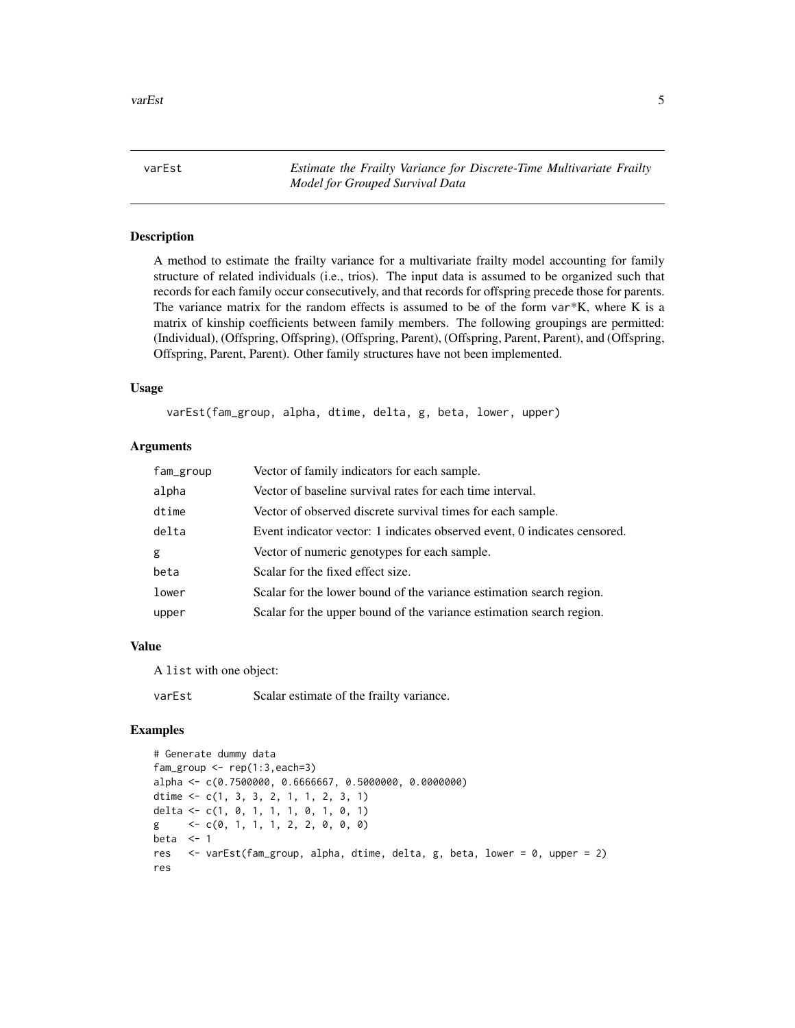<span id="page-4-0"></span>varEst *Estimate the Frailty Variance for Discrete-Time Multivariate Frailty Model for Grouped Survival Data*

# Description

A method to estimate the frailty variance for a multivariate frailty model accounting for family structure of related individuals (i.e., trios). The input data is assumed to be organized such that records for each family occur consecutively, and that records for offspring precede those for parents. The variance matrix for the random effects is assumed to be of the form  $var*K$ , where K is a matrix of kinship coefficients between family members. The following groupings are permitted: (Individual), (Offspring, Offspring), (Offspring, Parent), (Offspring, Parent, Parent), and (Offspring, Offspring, Parent, Parent). Other family structures have not been implemented.

# Usage

varEst(fam\_group, alpha, dtime, delta, g, beta, lower, upper)

# Arguments

| fam_group | Vector of family indicators for each sample.                              |
|-----------|---------------------------------------------------------------------------|
| alpha     | Vector of baseline survival rates for each time interval.                 |
| dtime     | Vector of observed discrete survival times for each sample.               |
| delta     | Event indicator vector: 1 indicates observed event, 0 indicates censored. |
| g         | Vector of numeric genotypes for each sample.                              |
| beta      | Scalar for the fixed effect size.                                         |
| lower     | Scalar for the lower bound of the variance estimation search region.      |
| upper     | Scalar for the upper bound of the variance estimation search region.      |

# Value

A list with one object:

varEst Scalar estimate of the frailty variance.

# Examples

```
# Generate dummy data
fam\_group \leftarrow rep(1:3, each=3)alpha <- c(0.7500000, 0.6666667, 0.5000000, 0.0000000)
dtime <- c(1, 3, 3, 2, 1, 1, 2, 3, 1)
delta <- c(1, 0, 1, 1, 1, 0, 1, 0, 1)
g \leq -c(0, 1, 1, 1, 2, 2, 0, 0, 0)beta <-1res <- varEst(fam_group, alpha, dtime, delta, g, beta, lower = 0, upper = 2)
res
```